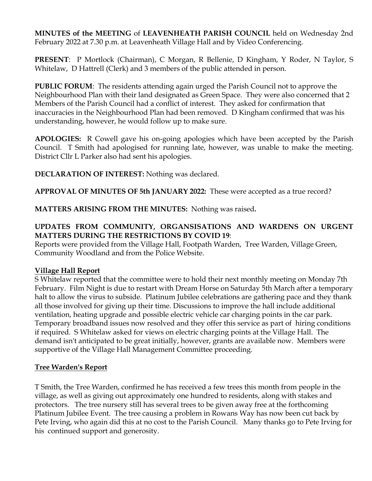**MINUTES of the MEETING** of **LEAVENHEATH PARISH COUNCIL** held on Wednesday 2nd February 2022 at 7.30 p.m. at Leavenheath Village Hall and by Video Conferencing.

**PRESENT**: P Mortlock (Chairman), C Morgan, R Bellenie, D Kingham, Y Roder, N Taylor, S Whitelaw, D Hattrell (Clerk) and 3 members of the public attended in person.

**PUBLIC FORUM**: The residents attending again urged the Parish Council not to approve the Neighbourhood Plan with their land designated as Green Space. They were also concerned that 2 Members of the Parish Council had a conflict of interest. They asked for confirmation that inaccuracies in the Neighbourhood Plan had been removed. D Kingham confirmed that was his understanding, however, he would follow up to make sure.

**APOLOGIES:** R Cowell gave his on-going apologies which have been accepted by the Parish Council. T Smith had apologised for running late, however, was unable to make the meeting. District Cllr L Parker also had sent his apologies.

**DECLARATION OF INTEREST:** Nothing was declared.

**APPROVAL OF MINUTES OF 5th JANUARY 2022:** These were accepted as a true record?

**MATTERS ARISING FROM THE MINUTES:** Nothing was raised**.** 

# **UPDATES FROM COMMUNITY, ORGANSISATIONS AND WARDENS ON URGENT MATTERS DURING THE RESTRICTIONS BY COVID 19**:

Reports were provided from the Village Hall, Footpath Warden, Tree Warden, Village Green, Community Woodland and from the Police Website.

### **Village Hall Report**

S Whitelaw reported that the committee were to hold their next monthly meeting on Monday 7th February. Film Night is due to restart with Dream Horse on Saturday 5th March after a temporary halt to allow the virus to subside. Platinum Jubilee celebrations are gathering pace and they thank all those involved for giving up their time. Discussions to improve the hall include additional ventilation, heating upgrade and possible electric vehicle car charging points in the car park. Temporary broadband issues now resolved and they offer this service as part of hiring conditions if required. S Whitelaw asked for views on electric charging points at the Village Hall. The demand isn't anticipated to be great initially, however, grants are available now. Members were supportive of the Village Hall Management Committee proceeding.

### **Tree Warden's Report**

T Smith, the Tree Warden, confirmed he has received a few trees this month from people in the village, as well as giving out approximately one hundred to residents, along with stakes and protectors. The tree nursery still has several trees to be given away free at the forthcoming Platinum Jubilee Event. The tree causing a problem in Rowans Way has now been cut back by Pete Irving, who again did this at no cost to the Parish Council. Many thanks go to Pete Irving for his continued support and generosity.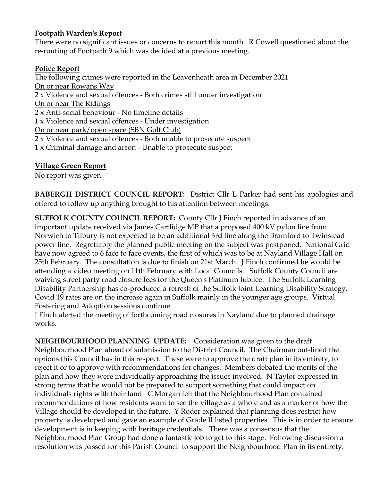# **Footpath Warden's Report**

There were no significant issues or concerns to report this month. R Cowell questioned about the re-routing of Footpath 9 which was decided at a previous meeting.

### **Police Report**

The following crimes were reported in the Leavenheath area in December 2021 On or near Rowans Way 2 x Violence and sexual offences - Both crimes still under investigation On or near The Ridings 2 x Anti-social behaviour - No timeline details 1 x Violence and sexual offences - Under investigation On or near park/open space (SBN Golf Club) 2 x Violence and sexual offences - Both unable to prosecute suspect 1 x Criminal damage and arson - Unable to prosecute suspect

# **Village Green Report**

No report was given.

**BABERGH DISTRICT COUNCIL REPORT:** District Cllr L Parker had sent his apologies and offered to follow up anything brought to his attention between meetings.

**SUFFOLK COUNTY COUNCIL REPORT:** County Cllr J Finch reported in advance of an important update received via James Cartlidge MP that a proposed 400 kV pylon line from Norwich to Tilbury is not expected to be an additional 3rd line along the Bramford to Twinstead power line. Regrettably the planned public meeting on the subject was postponed. National Grid have now agreed to 6 face to face events, the first of which was to be at Nayland Village Hall on 25th February. The consultation is due to finish on 21st March. J Finch confirmed he would be attending a video meeting on 11th February with Local Councils. Suffolk County Council are waiving street party road closure fees for the Queen's Platinum Jubilee. The Suffolk Learning Disability Partnership has co-produced a refresh of the Suffolk Joint Learning Disability Strategy. Covid 19 rates are on the increase again in Suffolk mainly in the younger age groups. Virtual Fostering and Adoption sessions continue.

J Finch alerted the meeting of forthcoming road closures in Nayland due to planned drainage works.

**NEIGHBOURHOOD PLANNING UPDATE:** Consideration was given to the draft Neighbourhood Plan ahead of submission to the District Council. The Chairman out-lined the options this Council has in this respect. These were to approve the draft plan in its entirety, to reject it or to approve with recommendations for changes. Members debated the merits of the plan and how they were individually approaching the issues involved. N Taylor expressed in strong terms that he would not be prepared to support something that could impact on individuals rights with their land. C Morgan felt that the Neighbourhood Plan contained recommendations of how residents want to see the village as a whole and as a marker of how the Village should be developed in the future. Y Roder explained that planning does restrict how property is developed and gave an example of Grade II listed properties. This is in order to ensure development is in keeping with heritage credentials. There was a consensus that the Neighbourhood Plan Group had done a fantastic job to get to this stage. Following discussion a resolution was passed for this Parish Council to support the Neighbourhood Plan in its entirety.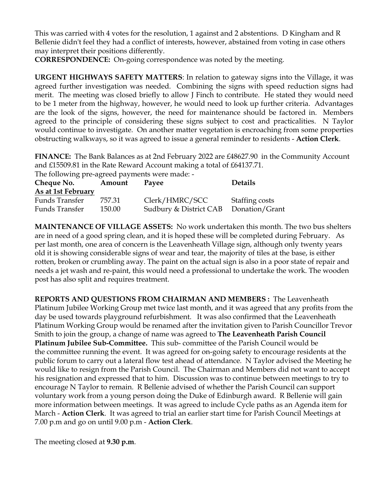This was carried with 4 votes for the resolution, 1 against and 2 abstentions. D Kingham and R Bellenie didn't feel they had a conflict of interests, however, abstained from voting in case others may interpret their positions differently.

**CORRESPONDENCE:** On-going correspondence was noted by the meeting.

**URGENT HIGHWAYS SAFETY MATTERS**: In relation to gateway signs into the Village, it was agreed further investigation was needed. Combining the signs with speed reduction signs had merit. The meeting was closed briefly to allow J Finch to contribute. He stated they would need to be 1 meter from the highway, however, he would need to look up further criteria. Advantages are the look of the signs, however, the need for maintenance should be factored in. Members agreed to the principle of considering these signs subject to cost and practicalities. N Taylor would continue to investigate. On another matter vegetation is encroaching from some properties obstructing walkways, so it was agreed to issue a general reminder to residents - **Action Clerk**.

**FINANCE:** The Bank Balances as at 2nd February 2022 are £48627.90 in the Community Account and £15509.81 in the Rate Reward Account making a total of £64137.71.

The following pre-agreed payments were made: -

| Cheque No.         | Amount | Payee                  | <b>Details</b> |
|--------------------|--------|------------------------|----------------|
| As at 1st February |        |                        |                |
| Funds Transfer     | 757.31 | Clerk/HMRC/SCC         | Staffing costs |
| Funds Transfer     | 150.00 | Sudbury & District CAB | Donation/Grant |

**MAINTENANCE OF VILLAGE ASSETS:** No work undertaken this month. The two bus shelters are in need of a good spring clean, and it is hoped these will be completed during February. As per last month, one area of concern is the Leavenheath Village sign, although only twenty years old it is showing considerable signs of wear and tear, the majority of tiles at the base, is either rotten, broken or crumbling away. The paint on the actual sign is also in a poor state of repair and needs a jet wash and re-paint, this would need a professional to undertake the work. The wooden post has also split and requires treatment.

**REPORTS AND QUESTIONS FROM CHAIRMAN AND MEMBERS :** The Leavenheath Platinum Jubilee Working Group met twice last month, and it was agreed that any profits from the day be used towards playground refurbishment. It was also confirmed that the Leavenheath Platinum Working Group would be renamed after the invitation given to Parish Councillor Trevor Smith to join the group, a change of name was agreed to **The Leavenheath Parish Council Platinum Jubilee Sub-Committee.** This sub- committee of the Parish Council would be the committee running the event. It was agreed for on-going safety to encourage residents at the public forum to carry out a lateral flow test ahead of attendance. N Taylor advised the Meeting he would like to resign from the Parish Council. The Chairman and Members did not want to accept his resignation and expressed that to him. Discussion was to continue between meetings to try to encourage N Taylor to remain. R Bellenie advised of whether the Parish Council can support voluntary work from a young person doing the Duke of Edinburgh award. R Bellenie will gain more information between meetings. It was agreed to include Cycle paths as an Agenda item for March - **Action Clerk**. It was agreed to trial an earlier start time for Parish Council Meetings at 7.00 p.m and go on until 9.00 p.m - **Action Clerk**.

The meeting closed at **9.30 p.m**.